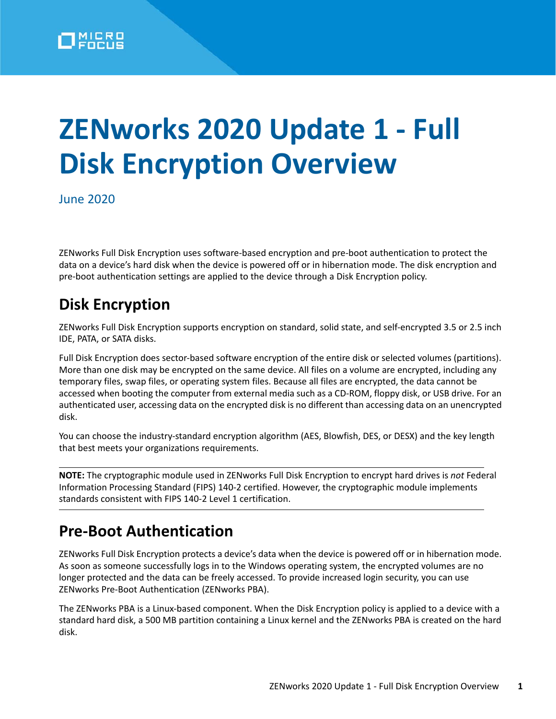

# **ZENworks 2020 Update 1 - Full Disk Encryption Overview**

June 2020

ZENworks Full Disk Encryption uses software-based encryption and pre-boot authentication to protect the data on a device's hard disk when the device is powered off or in hibernation mode. The disk encryption and pre-boot authentication settings are applied to the device through a Disk Encryption policy.

### **Disk Encryption**

ZENworks Full Disk Encryption supports encryption on standard, solid state, and self-encrypted 3.5 or 2.5 inch IDE, PATA, or SATA disks.

Full Disk Encryption does sector-based software encryption of the entire disk or selected volumes (partitions). More than one disk may be encrypted on the same device. All files on a volume are encrypted, including any temporary files, swap files, or operating system files. Because all files are encrypted, the data cannot be accessed when booting the computer from external media such as a CD-ROM, floppy disk, or USB drive. For an authenticated user, accessing data on the encrypted disk is no different than accessing data on an unencrypted disk.

You can choose the industry-standard encryption algorithm (AES, Blowfish, DES, or DESX) and the key length that best meets your organizations requirements.

**NOTE:** The cryptographic module used in ZENworks Full Disk Encryption to encrypt hard drives is *not* Federal Information Processing Standard (FIPS) 140-2 certified. However, the cryptographic module implements standards consistent with FIPS 140-2 Level 1 certification.

### **Pre-Boot Authentication**

ZENworks Full Disk Encryption protects a device's data when the device is powered off or in hibernation mode. As soon as someone successfully logs in to the Windows operating system, the encrypted volumes are no longer protected and the data can be freely accessed. To provide increased login security, you can use ZENworks Pre-Boot Authentication (ZENworks PBA).

The ZENworks PBA is a Linux-based component. When the Disk Encryption policy is applied to a device with a standard hard disk, a 500 MB partition containing a Linux kernel and the ZENworks PBA is created on the hard disk.